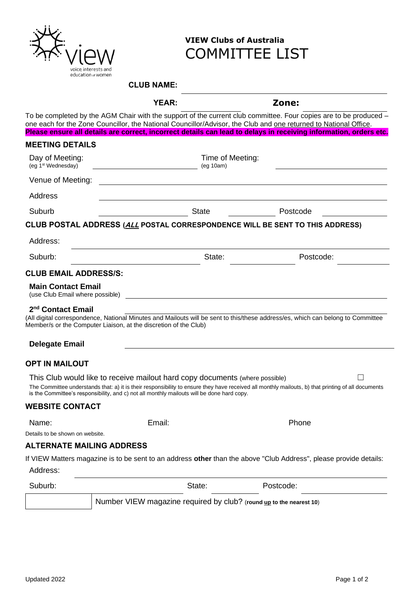

## **VIEW Clubs of Australia** COMMITTEE LIST

## **CLUB NAME:**

| Δ<br>ш<br>١ı<br>,— , |  |
|----------------------|--|
|                      |  |

**YEAR: Zone:**

To be completed by the AGM Chair with the support of the current club committee. Four copies are to be produced – one each for the Zone Councillor, the National Councillor/Advisor, the Club and one returned to National Office. **Please ensure all details are correct, incorrect details can lead to delays in receiving information, orders etc. MEETING DETAILS** Day of Meeting: (eg 1st Wednesday) Time of Meeting: (eg 10am) Venue of Meeting: Address Suburb **Suburb** State **Postcode CLUB POSTAL ADDRESS (ALL POSTAL CORRESPONDENCE WILL BE SENT TO THIS ADDRESS)** Address: Suburb: State: Postcode: Postcode: Postcode: Postcode: Postcode: Postcode: Postcode: Postcode: Postcode: Postcode: Postcode: Postcode: Postcode: Postcode: Postcode: Postcode: Postcode: Postcode: Postcode: Postcode: Postcod **CLUB EMAIL ADDRESS/S: Main Contact Email**  (use Club Email where possible) **2 nd Contact Email** (All digital correspondence, National Minutes and Mailouts will be sent to this/these address/es, which can belong to Committee Member/s or the Computer Liaison, at the discretion of the Club) **Delegate Email OPT IN MAILOUT** This Club would like to receive mailout hard copy documents (where possible)  $\Box$ The Committee understands that: a) it is their responsibility to ensure they have received all monthly mailouts, b) that printing of all documents is the Committee's responsibility, and c) not all monthly mailouts will be done hard copy. **WEBSITE CONTACT** Name: The Contract Contract Email: Phone Phone Phone Phone Details to be shown on website. **ALTERNATE MAILING ADDRESS** If VIEW Matters magazine is to be sent to an address **other** than the above "Club Address", please provide details: Address: Suburb: Suburb: State: Postcode: Postcode: Number VIEW magazine required by club? (**round up to the nearest 10**)